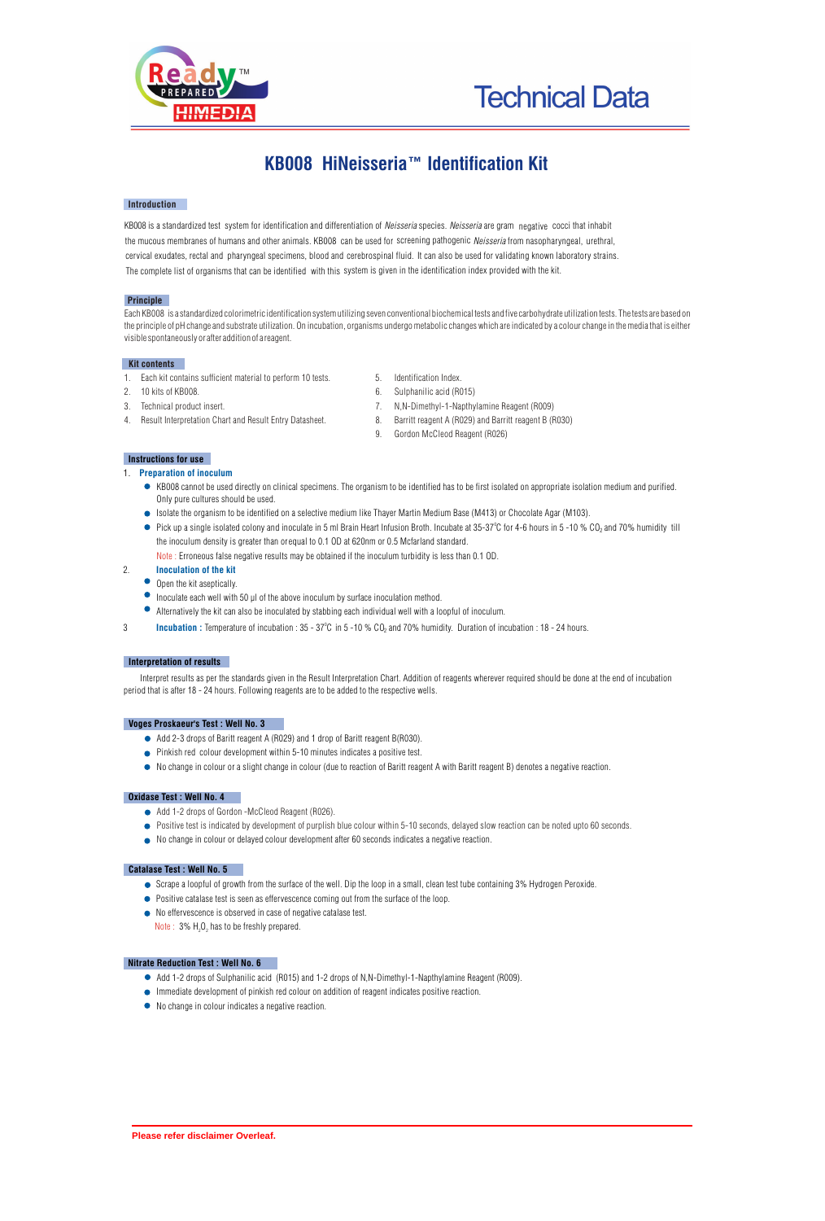



# **KB008 HiNeisseria™ Identification Kit**

## **Introduction**

KB008 is a standardized test system for identification and differentiation of *Neisseria* species. *Neisseria* are gram negative cocci that inhabit the mucous membranes of humans and other animals. KB008 can be used for screening pathogenic *Neisseria* from nasopharyngeal, urethral, cervical exudates, rectal and pharyngeal specimens, blood and cerebrospinal fluid. It can also be used for validating known laboratory strains. The complete list of organisms that can be identified with this system is given in the identification index provided with the kit.

### **Principle**

Each KB008 is a standardized colorimetric identification system utilizing seven conventional biochemical tests and five carbohydrate utilization tests. The tests are based on the principle of pH change and substrate utilization. On incubation, organisms undergo metabolic changes which are indicated by a colour change in the media that is either visible spontaneously or after addition of a reagent.

## **Kit contents**

- 1. Each kit contains sufficient material to perform 10 tests. 5. Identification Index.<br>2. 10 kits of KB008. 6. Sulphanilic acid (RC
- 
- 
- 
- 
- 6. Sulphanilic acid (R015)
- 3. Technical product insert. 7. N,N-Dimethyl-1-Napthylamine Reagent (R009)
- 4. Result Interpretation Chart and Result Entry Datasheet. 8. Barritt reagent A (R029) and Barritt reagent B (R030)
	- 9. Gordon McCleod Reagent (R026)

# **Instructions for use**

- 1. **Preparation of inoculum** 
	- KB008 cannot be used directly on clinical specimens. The organism to be identified has to be first isolated on appropriate isolation medium and purified. Only pure cultures should be used.
	- Isolate the organism to be identified on a selective medium like Thayer Martin Medium Base (M413) or Chocolate Agar (M103).
	- Pick up a single isolated colony and inoculate in 5 ml Brain Heart Infusion Broth. Incubate at 35-37"C for 4-6 hours in 5 -10 % CO<sub>2</sub> and 70% humidity till the inoculum density is greater than or equal to 0.1 OD at 620nm or 0.5 Mcfarland standard.
	- $\overline{\text{Note}}$  : Erroneous false negative results may be obtained if the inoculum turbidity is less than 0.1 OD. **Inoculation of the kit**

# $\bullet$  Open the kit aseptically.

2.

- $\bullet$  Inoculate each well with 50  $\mu$ l of the above inoculum by surface inoculation method.
- Alternatively the kit can also be inoculated by stabbing each individual well with a loopful of inoculum.
- **Incubation :** Temperature of incubation : 35 37°C in 5 -10 % CO<sub>2</sub> and 70% humidity. Duration of incubation : 18 24 hours.

#### **Interpretation of results**

Interpret results as per the standards given in the Result Interpretation Chart. Addition of reagents wherever required should be done at the end of incubation period that is after 18 - 24 hours. Following reagents are to be added to the respective wells.

#### **Voges Proskaeur's Test : Well No. 3**

- Add 2-3 drops of Baritt reagent A (R029) and 1 drop of Baritt reagent B(R030).
- Pinkish red colour development within 5-10 minutes indicates a positive test.
- No change in colour or a slight change in colour (due to reaction of Baritt reagent A with Baritt reagent B) denotes a negative reaction.

## **Oxidase Test : Well No. 4**

- Add 1-2 drops of Gordon -McCleod Reagent (R026).
- Positive test is indicated by development of purplish blue colour within 5-10 seconds, delayed slow reaction can be noted upto 60 seconds.
- No change in colour or delayed colour development after 60 seconds indicates a negative reaction.

# **Catalase Test : Well No. 5**

- Scrape a loopful of growth from the surface of the well. Dip the loop in a small, clean test tube containing 3% Hydrogen Peroxide.
- **•** Positive catalase test is seen as effervescence coming out from the surface of the loop.
- No effervescence is observed in case of negative catalase test.
- Note :  $3\%$  H<sub>2</sub>O<sub>2</sub> has to be freshly prepared.

# **Nitrate Reduction Test : Well No. 6**

- Add 1-2 drops of Sulphanilic acid (R015) and 1-2 drops of N,N-Dimethyl-1-Napthylamine Reagent (R009).
- Immediate development of pinkish red colour on addition of reagent indicates positive reaction.
- No change in colour indicates a negative reaction.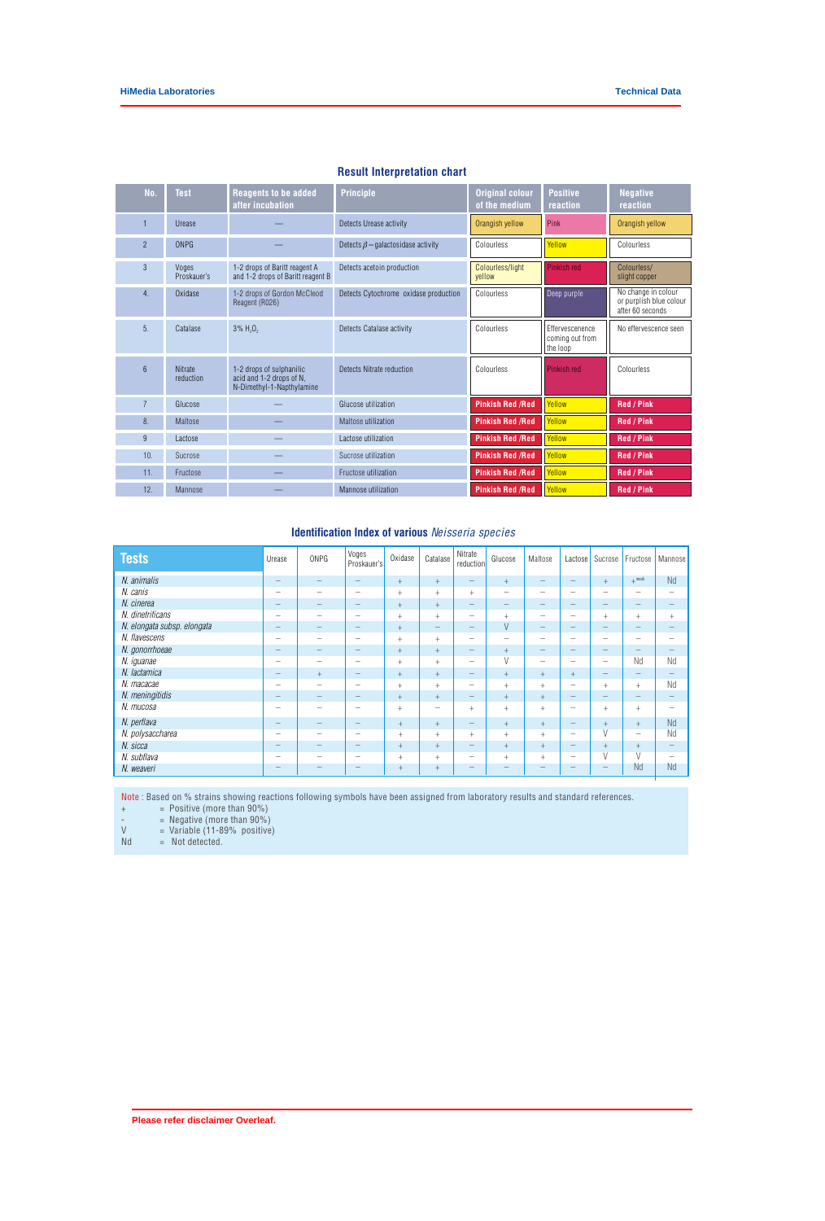| No.             | <b>Test</b>                 | <b>Reagents to be added</b><br>after incubation                                   | <b>Principle</b>                         | <b>Original colour</b><br>of the medium | <b>Positive</b><br>reaction                    | <b>Negative</b><br>reaction                                        |
|-----------------|-----------------------------|-----------------------------------------------------------------------------------|------------------------------------------|-----------------------------------------|------------------------------------------------|--------------------------------------------------------------------|
|                 | Urease                      |                                                                                   | Detects Urease activity                  | Orangish yellow                         | Pink                                           | Orangish yellow                                                    |
| $\overline{2}$  | ONPG                        |                                                                                   | Detects $\beta$ – galactosidase activity | Colourless                              | Yellow                                         | Colourless                                                         |
| 3               | Voges<br>Proskauer's        | 1-2 drops of Baritt reagent A<br>and 1-2 drops of Baritt reagent B                | Detects acetoin production               | Colourless/light<br>vellow              | Pinkish red                                    | Colourless/<br>slight copper                                       |
| 4.              | Oxidase                     | 1-2 drops of Gordon McCleod<br>Reagent (R026)                                     | Detects Cytochrome oxidase production    | Colourless                              | Deep purple                                    | No change in colour<br>or purplish blue colour<br>after 60 seconds |
| 5 <sub>1</sub>  | Catalase                    | $3\%$ H <sub>2</sub> O <sub>2</sub>                                               | Detects Catalase activity                | Colourless                              | Effervescenence<br>coming out from<br>the loop | No effervescence seen                                              |
| $6\overline{6}$ | <b>Nitrate</b><br>reduction | 1-2 drops of sulphanilic<br>acid and 1-2 drops of N,<br>N-Dimethyl-1-Napthylamine | Detects Nitrate reduction                | Colourless                              | Pinkish red                                    | Colourless                                                         |
| $\overline{7}$  | Glucose                     |                                                                                   | Glucose utilization                      | <b>Pinkish Red /Red</b>                 | Yellow                                         | <b>Red / Pink</b>                                                  |
| 8.              | Maltose                     |                                                                                   | Maltose utilization                      | <b>Pinkish Red /Red</b>                 | Yellow                                         | <b>Red / Pink</b>                                                  |
| $\overline{9}$  | Lactose                     |                                                                                   | Lactose utilization                      | <b>Pinkish Red /Red</b>                 | Yellow                                         | <b>Red / Pink</b>                                                  |
| 10.             | Sucrose                     |                                                                                   | Sucrose utilization                      | <b>Pinkish Red /Red</b>                 | Yellow                                         | <b>Red / Pink</b>                                                  |
| 11.             | Fructose                    |                                                                                   | Fructose utilization                     | <b>Pinkish Red /Red</b>                 | Yellow                                         | <b>Red / Pink</b>                                                  |
| 12.             | Mannose                     |                                                                                   | Mannose utilization                      | <b>Pinkish Red /Red</b>                 | Yellow                                         | <b>Red / Pink</b>                                                  |

# **Result Interpretation chart**

# **Identification Index of various** *Neisseria species*

| <b>Tests</b>                | Urease                                    | <b>ONPG</b>                     | Voges<br>Proskauer's            | Oxidase | Catalase          | Nitrate<br>reduction            | Glucose                  | Maltose                         | Lactose                  | Sucrose                                                                                                                                                                                                                                                                                                                                                                                                                                                                                                                                               | Fructose                        | <b>Mannose</b>           |
|-----------------------------|-------------------------------------------|---------------------------------|---------------------------------|---------|-------------------|---------------------------------|--------------------------|---------------------------------|--------------------------|-------------------------------------------------------------------------------------------------------------------------------------------------------------------------------------------------------------------------------------------------------------------------------------------------------------------------------------------------------------------------------------------------------------------------------------------------------------------------------------------------------------------------------------------------------|---------------------------------|--------------------------|
| N. animalis                 | $\qquad \qquad -$                         |                                 | -                               | $+$     | $+$               | $\qquad \qquad -$               | $+$                      | $\hspace{0.1mm}-\hspace{0.1mm}$ | $\qquad \qquad -$        | $+$                                                                                                                                                                                                                                                                                                                                                                                                                                                                                                                                                   | $+$ weak                        | <b>Nd</b>                |
| N. canis                    | $\overline{\phantom{0}}$                  | $\overline{\phantom{m}}$        | -                               | $^{+}$  | $^{+}$            | $+$                             | $\overline{\phantom{0}}$ |                                 | $\overline{\phantom{m}}$ | $\qquad \qquad$                                                                                                                                                                                                                                                                                                                                                                                                                                                                                                                                       | $\overline{\phantom{m}}$        | -                        |
| N. cinerea                  | $\hspace{0.1mm}-\hspace{0.1mm}$           | -                               |                                 | $+$     | $+$               | $\hspace{0.1mm}-\hspace{0.1mm}$ | -                        | $\qquad \qquad -$               |                          | $\overline{\phantom{m}}$                                                                                                                                                                                                                                                                                                                                                                                                                                                                                                                              | $\hspace{0.1mm}-\hspace{0.1mm}$ |                          |
| N. dinetrificans            | $\qquad \qquad$                           | -                               | -                               | $^{+}$  | $^{+}$            | $\overline{\phantom{m}}$        | $^{+}$                   | $\overline{\phantom{m}}$        | $\overline{\phantom{m}}$ | $+$                                                                                                                                                                                                                                                                                                                                                                                                                                                                                                                                                   | $+$                             | $+$                      |
| N. elongata subsp. elongata | $\qquad \qquad -$                         | $\hspace{0.1mm}-\hspace{0.1mm}$ |                                 | $+$     | $\qquad \qquad -$ | $\hspace{0.1mm}-\hspace{0.1mm}$ | V                        | $\overline{\phantom{a}}$        |                          | $\qquad \qquad -$                                                                                                                                                                                                                                                                                                                                                                                                                                                                                                                                     | $\hspace{0.1mm}-\hspace{0.1mm}$ |                          |
| N. flavescens               | $\qquad \qquad$                           | $\overline{\phantom{m}}$        | -                               | $^{+}$  | $^{+}$            | $\qquad \qquad -$               | $\overline{\phantom{0}}$ | $\qquad \qquad$                 | $\overline{\phantom{m}}$ | $\qquad \qquad$                                                                                                                                                                                                                                                                                                                                                                                                                                                                                                                                       | $\overline{\phantom{m}}$        | -                        |
| N. gonorrhoeae              | $\qquad \qquad \overline{\qquad \qquad }$ | -                               |                                 | $+$     | $+$               | $\hspace{0.1mm}-\hspace{0.1mm}$ | $+$                      | $\overline{\phantom{a}}$        | $\overline{\phantom{a}}$ | $\qquad \qquad \overline{\qquad \qquad }% \qquad \qquad \overline{\qquad \qquad }% \qquad \qquad \overline{\qquad \qquad }% \qquad \qquad \overline{\qquad \qquad }% \qquad \qquad \overline{\qquad \qquad }% \qquad \qquad \overline{\qquad \qquad }% \qquad \qquad \overline{\qquad \qquad }% \qquad \qquad \overline{\qquad \qquad }% \qquad \qquad \overline{\qquad \qquad }% \qquad \qquad \overline{\qquad \qquad }% \qquad \qquad \overline{\qquad \qquad }% \qquad \qquad \overline{\qquad \qquad }% \qquad \qquad \overline{\qquad \qquad }$ |                                 |                          |
| N. iguanae                  | $\qquad \qquad$                           | -                               |                                 | $^{+}$  | $^{+}$            | $\overline{\phantom{m}}$        | $\vee$                   | $\overline{\phantom{m}}$        | $\overline{\phantom{m}}$ | $\overline{\phantom{m}}$                                                                                                                                                                                                                                                                                                                                                                                                                                                                                                                              | Nd                              | Nd                       |
| N. lactamica                | $\overline{\phantom{0}}$                  | $+$                             |                                 | $+$     | $+$               | $\qquad \qquad -$               | $+$                      | $+$                             | $+$                      | $\qquad \qquad -$                                                                                                                                                                                                                                                                                                                                                                                                                                                                                                                                     | $\overline{\phantom{m}}$        |                          |
| N. macacae                  | $\overline{\phantom{0}}$                  | -                               | -                               | $^{+}$  | $+$               | -                               | $^{+}$                   | $+$                             | $\qquad \qquad$          | $^{+}$                                                                                                                                                                                                                                                                                                                                                                                                                                                                                                                                                | $^{+}$                          | Nd                       |
| N. meningitidis             | $\qquad \qquad \overline{\qquad \qquad }$ |                                 |                                 | $+$     | $+$               | $\qquad \qquad -$               | $+$                      | $+$                             |                          | $\qquad \qquad -$                                                                                                                                                                                                                                                                                                                                                                                                                                                                                                                                     | $\qquad \qquad -$               |                          |
| N. mucosa                   | $\qquad \qquad$                           | -                               | -                               | $^{+}$  | -                 | $\ddot{}$                       | $^{+}$                   | $^{+}$                          | $\overline{\phantom{m}}$ | $^{+}$                                                                                                                                                                                                                                                                                                                                                                                                                                                                                                                                                | $+$                             | -                        |
| N. perflava                 | $\qquad \qquad -$                         | $\hspace{0.1mm}-\hspace{0.1mm}$ | $\hspace{0.1mm}-\hspace{0.1mm}$ | $+$     | $+$               | $\hspace{0.1mm}-\hspace{0.1mm}$ | $+$                      | $+$                             | $\overline{\phantom{m}}$ | $+$                                                                                                                                                                                                                                                                                                                                                                                                                                                                                                                                                   | $+$                             | Nd                       |
| N. polysaccharea            | $\qquad \qquad$                           |                                 |                                 | $+$     | $^{+}$            | $^{+}$                          | $+$                      | $^{+}$                          | $\overline{\phantom{m}}$ | V                                                                                                                                                                                                                                                                                                                                                                                                                                                                                                                                                     | $\qquad \qquad$                 | Nd                       |
| N. sicca                    | $\qquad \qquad -$                         |                                 |                                 | $^{+}$  | $+$               | $\qquad \qquad -$               | $+$                      | $+$                             | $\qquad \qquad -$        | $^{+}$                                                                                                                                                                                                                                                                                                                                                                                                                                                                                                                                                | $+$                             | $\overline{\phantom{m}}$ |
| N. subflava                 | $\qquad \qquad$                           | -                               |                                 | $+$     | $^{+}$            | $\overline{\phantom{m}}$        | $^{+}$                   | $+$                             | $\overline{\phantom{m}}$ | V                                                                                                                                                                                                                                                                                                                                                                                                                                                                                                                                                     | $\overline{V}$                  | $\overline{\phantom{a}}$ |
| N. weaveri                  |                                           |                                 |                                 | $+$     | $+$               |                                 |                          |                                 |                          | $\qquad \qquad \overline{\qquad \qquad }% \qquad \qquad \overline{\qquad \qquad }% \qquad \qquad \overline{\qquad \qquad }% \qquad \qquad \overline{\qquad \qquad }% \qquad \qquad \overline{\qquad \qquad }% \qquad \qquad \overline{\qquad \qquad }% \qquad \qquad \overline{\qquad \qquad }% \qquad \qquad \overline{\qquad \qquad }% \qquad \qquad \overline{\qquad \qquad }% \qquad \qquad \overline{\qquad \qquad }% \qquad \qquad \overline{\qquad \qquad }% \qquad \qquad \overline{\qquad \qquad }% \qquad \qquad \overline{\qquad \qquad }$ | Nd                              | Nd                       |

Note : Based on % strains showing reactions following symbols have been assigned from laboratory results and standard references.

 $+$   $=$  Positive (more than 90%)

 $=$  Negative (more than  $90\%$ )

 $V = Vari$ able (11-89% positive)

 $Nd = Not detected.$ 

**Please refer disclaimer Overleaf.**